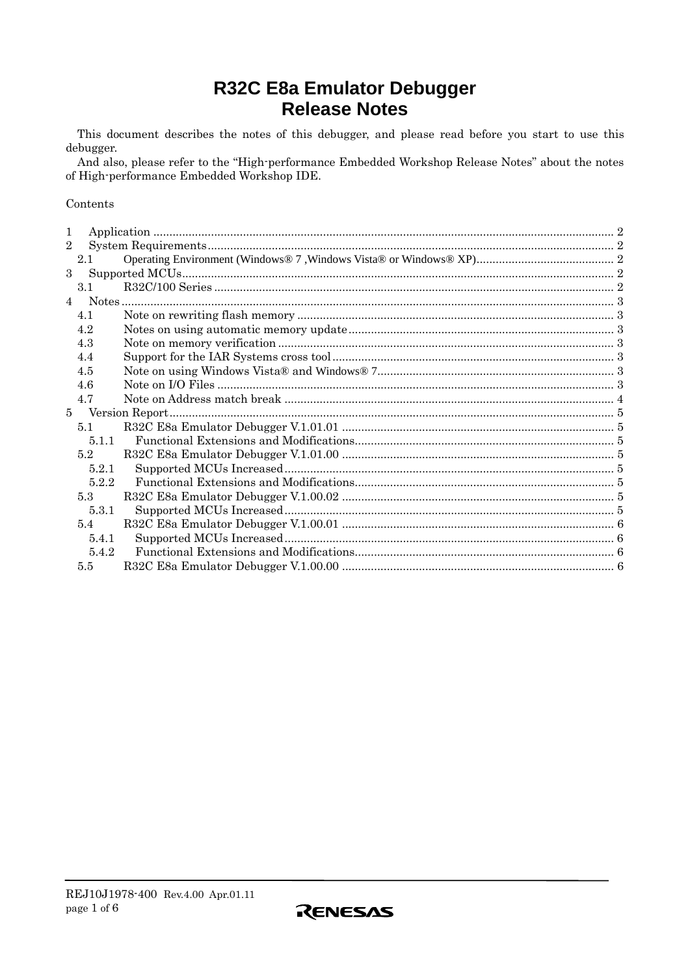# R32C E8a Emulator Debugger **Release Notes**

This document describes the notes of this debugger, and please read before you start to use this debugger.

And also, please refer to the "High-performance Embedded Workshop Release Notes" about the notes of High-performance Embedded Workshop IDE.

#### Contents

| 1              |       |  |
|----------------|-------|--|
| $\overline{2}$ |       |  |
|                | 2.1   |  |
| $\mathbf{3}$   |       |  |
|                | 3.1   |  |
|                |       |  |
|                | 4.1   |  |
|                | 4.2   |  |
|                | 4.3   |  |
|                | 4.4   |  |
|                | 4.5   |  |
|                | 4.6   |  |
|                | 4.7   |  |
| $5 -$          |       |  |
|                | 5.1   |  |
|                | 5.1.1 |  |
|                | 5.2   |  |
|                | 5.2.1 |  |
|                | 5.2.2 |  |
|                | 5.3   |  |
|                | 5.3.1 |  |
|                | 5.4   |  |
|                | 5.4.1 |  |
|                | 5.4.2 |  |
|                | 5.5   |  |

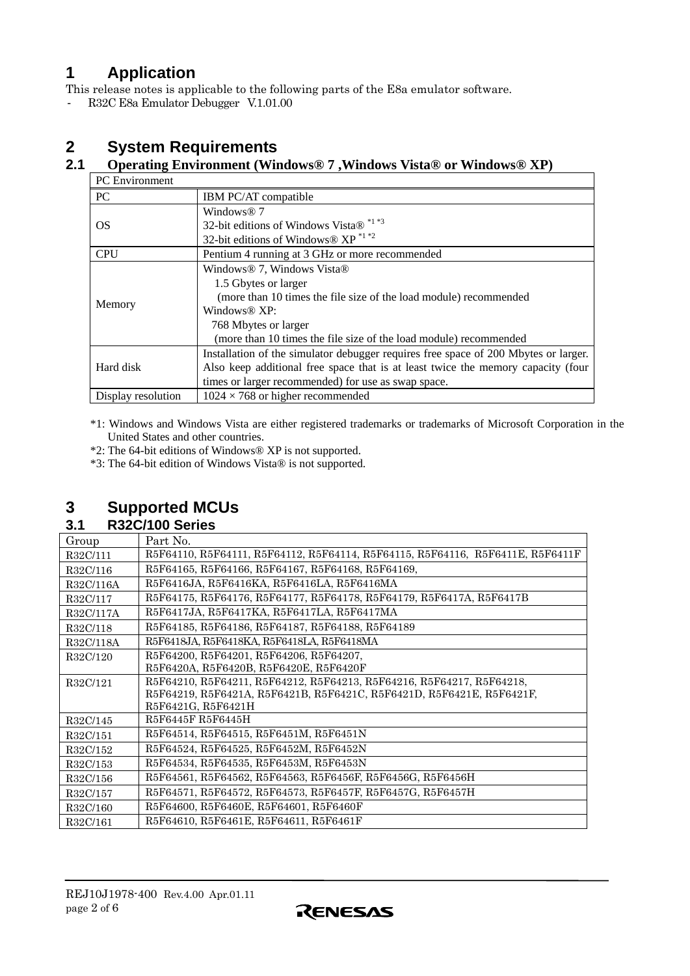# <span id="page-1-0"></span>**1 Application**

This release notes is applicable to the following parts of the E8a emulator software.

- R32C E8a Emulator Debugger V.1.01.00

# **2 System Requirements**

## **2.1 Operating Environment (Windows® 7 ,Windows Vista® or Windows® XP)**

| <b>PC</b> Environment |                                                                                     |  |  |  |
|-----------------------|-------------------------------------------------------------------------------------|--|--|--|
| <b>PC</b>             | IBM PC/AT compatible                                                                |  |  |  |
|                       | Windows <sup>®</sup> 7                                                              |  |  |  |
| OS                    | 32-bit editions of Windows Vista® *1 *3                                             |  |  |  |
|                       | 32-bit editions of Windows® $XP^{\ast 1\ast 2}$                                     |  |  |  |
| <b>CPU</b>            | Pentium 4 running at 3 GHz or more recommended                                      |  |  |  |
|                       | Windows <sup>®</sup> 7, Windows Vista <sup>®</sup>                                  |  |  |  |
|                       | 1.5 Gbytes or larger                                                                |  |  |  |
|                       | (more than 10 times the file size of the load module) recommended                   |  |  |  |
| Memory                | Windows <sup>®</sup> $XP:$                                                          |  |  |  |
|                       | 768 Mbytes or larger                                                                |  |  |  |
|                       | (more than 10 times the file size of the load module) recommended                   |  |  |  |
|                       | Installation of the simulator debugger requires free space of 200 Mbytes or larger. |  |  |  |
| Hard disk             | Also keep additional free space that is at least twice the memory capacity (four    |  |  |  |
|                       | times or larger recommended) for use as swap space.                                 |  |  |  |
| Display resolution    | $1024 \times 768$ or higher recommended                                             |  |  |  |

\*1: Windows and Windows Vista are either registered trademarks or trademarks of Microsoft Corporation in the United States and other countries.

\*2: The 64-bit editions of Windows® XP is not supported.

\*3: The 64-bit edition of Windows Vista® is not supported.

# **3 Supported MCUs**

**3.1 R32C/100 Series** 

| Group     | Part No.                                                                       |
|-----------|--------------------------------------------------------------------------------|
| R32C/111  | R5F64110, R5F64111, R5F64112, R5F64114, R5F64115, R5F64116, R5F6411E, R5F6411F |
| R32C/116  | R5F64165, R5F64166, R5F64167, R5F64168, R5F64169,                              |
| R32C/116A | R5F6416JA, R5F6416KA, R5F6416LA, R5F6416MA                                     |
| R32C/117  | R5F64175, R5F64176, R5F64177, R5F64178, R5F64179, R5F6417A, R5F6417B           |
| R32C/117A | R5F6417JA, R5F6417KA, R5F6417LA, R5F6417MA                                     |
| R32C/118  | R5F64185, R5F64186, R5F64187, R5F64188, R5F64189                               |
| R32C/118A | R5F6418JA, R5F6418KA, R5F6418LA, R5F6418MA                                     |
| R32C/120  | R5F64200, R5F64201, R5F64206, R5F64207,                                        |
|           | R5F6420A, R5F6420B, R5F6420E, R5F6420F                                         |
| R32C/121  | R5F64210, R5F64211, R5F64212, R5F64213, R5F64216, R5F64217, R5F64218,          |
|           | R5F64219, R5F6421A, R5F6421B, R5F6421C, R5F6421D, R5F6421E, R5F6421F,          |
|           | R5F6421G, R5F6421H                                                             |
| R32C/145  | R5F6445F R5F6445H                                                              |
| R32C/151  | R5F64514, R5F64515, R5F6451M, R5F6451N                                         |
| R32C/152  | R5F64524, R5F64525, R5F6452M, R5F6452N                                         |
| R32C/153  | R5F64534, R5F64535, R5F6453M, R5F6453N                                         |
| R32C/156  | R5F64561, R5F64562, R5F64563, R5F6456F, R5F6456G, R5F6456H                     |
| R32C/157  | R5F64571, R5F64572, R5F64573, R5F6457F, R5F6457G, R5F6457H                     |
| R32C/160  | R5F64600, R5F6460E, R5F64601, R5F6460F                                         |
| R32C/161  | R5F64610, R5F6461E, R5F64611, R5F6461F                                         |

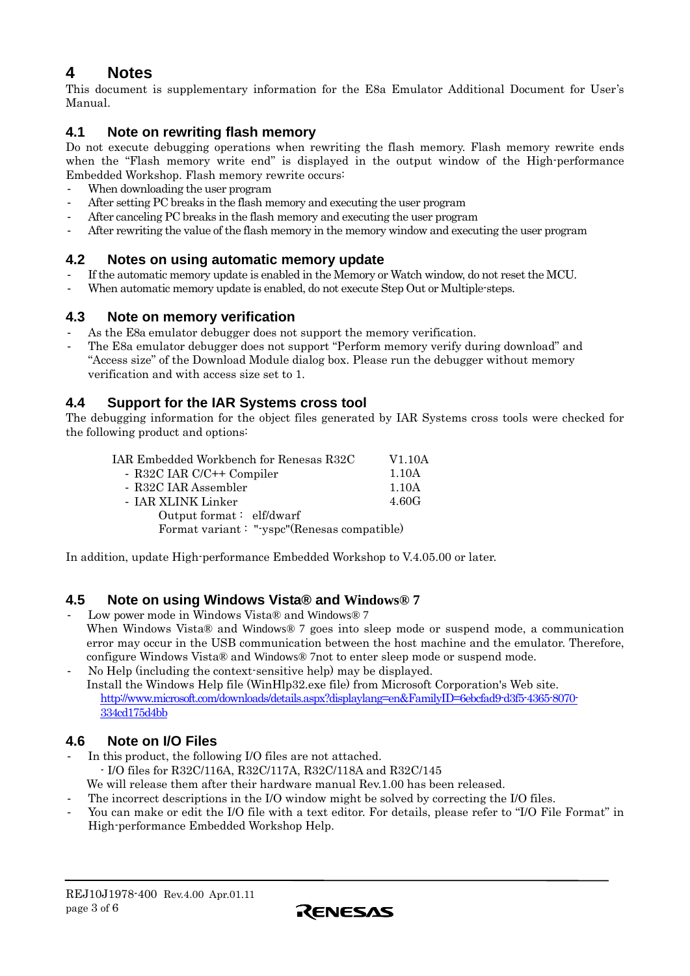# <span id="page-2-0"></span>**4 Notes**

This document is supplementary information for the E8a Emulator Additional Document for User's Manual.

## **4.1 Note on rewriting flash memory**

Do not execute debugging operations when rewriting the flash memory. Flash memory rewrite ends when the "Flash memory write end" is displayed in the output window of the High-performance Embedded Workshop. Flash memory rewrite occurs:

- When downloading the user program
- After setting PC breaks in the flash memory and executing the user program
- After canceling PC breaks in the flash memory and executing the user program
- After rewriting the value of the flash memory in the memory window and executing the user program

# **4.2 Notes on using automatic memory update**

- If the automatic memory update is enabled in the Memory or Watch window, do not reset the MCU.
- When automatic memory update is enabled, do not execute Step Out or Multiple-steps.

## **4.3 Note on memory verification**

- As the E8a emulator debugger does not support the memory verification.
- The E8a emulator debugger does not support "Perform memory verify during download" and "Access size" of the Download Module dialog box. Please run the debugger without memory verification and with access size set to 1.

## **4.4 Support for the IAR Systems cross tool**

The debugging information for the object files generated by IAR Systems cross tools were checked for the following product and options:

| IAR Embedded Workbench for Renesas R32C     | V <sub>1.10</sub> A |  |
|---------------------------------------------|---------------------|--|
| - R32C IAR C/C++ Compiler                   | 1.10A               |  |
| - R32C IAR Assembler                        | 1.10A               |  |
| - JAR XLINK Linker                          | 4.60G               |  |
| Output format: elf/dwarf                    |                     |  |
| Format variant: "-yspc"(Renesas compatible) |                     |  |
|                                             |                     |  |

In addition, update High-performance Embedded Workshop to V.4.05.00 or later.

# **4.5 Note on using Windows Vista® and Windows® 7**

- Low power mode in Windows Vista® and Windows® 7 When Windows Vista® and Windows® 7 goes into sleep mode or suspend mode, a communication error may occur in the USB communication between the host machine and the emulator. Therefore, configure Windows Vista® and Windows® 7not to enter sleep mode or suspend mode.
- No Help (including the context-sensitive help) may be displayed. Install the Windows Help file (WinHlp32.exe file) from Microsoft Corporation's Web site. [http://www.microsoft.com/downloads/details.aspx?displaylang=en&FamilyID=6ebcfad9-d3f5-4365-8070-](http://www.microsoft.com/downloads/details.aspx?displaylang=en&FamilyID=6ebcfad9-d3f5-4365-8070-334cd175d4bb) [334cd175d4bb](http://www.microsoft.com/downloads/details.aspx?displaylang=en&FamilyID=6ebcfad9-d3f5-4365-8070-334cd175d4bb)

# **4.6 Note on I/O Files**

- In this product, the following I/O files are not attached. - I/O files for R32C/116A, R32C/117A, R32C/118A and R32C/145 We will release them after their hardware manual Rev.1.00 has been released.
	- The incorrect descriptions in the I/O window might be solved by correcting the I/O files.
- You can make or edit the I/O file with a text editor. For details, please refer to "I/O File Format" in High-performance Embedded Workshop Help.

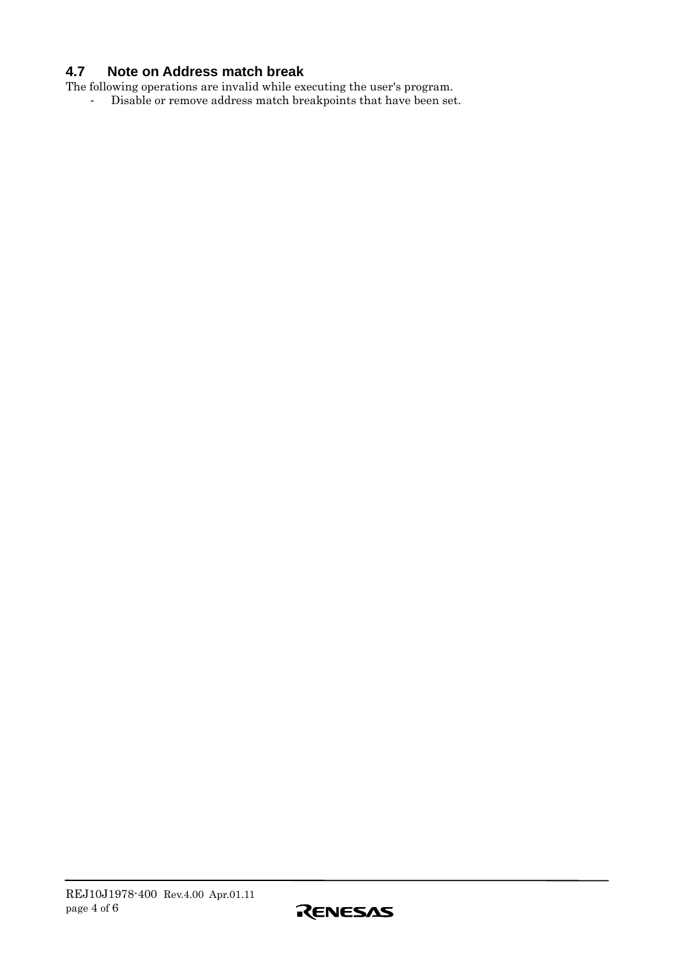# <span id="page-3-0"></span>**4.7 Note on Address match break**

The following operations are invalid while executing the user's program.

- Disable or remove address match breakpoints that have been set.

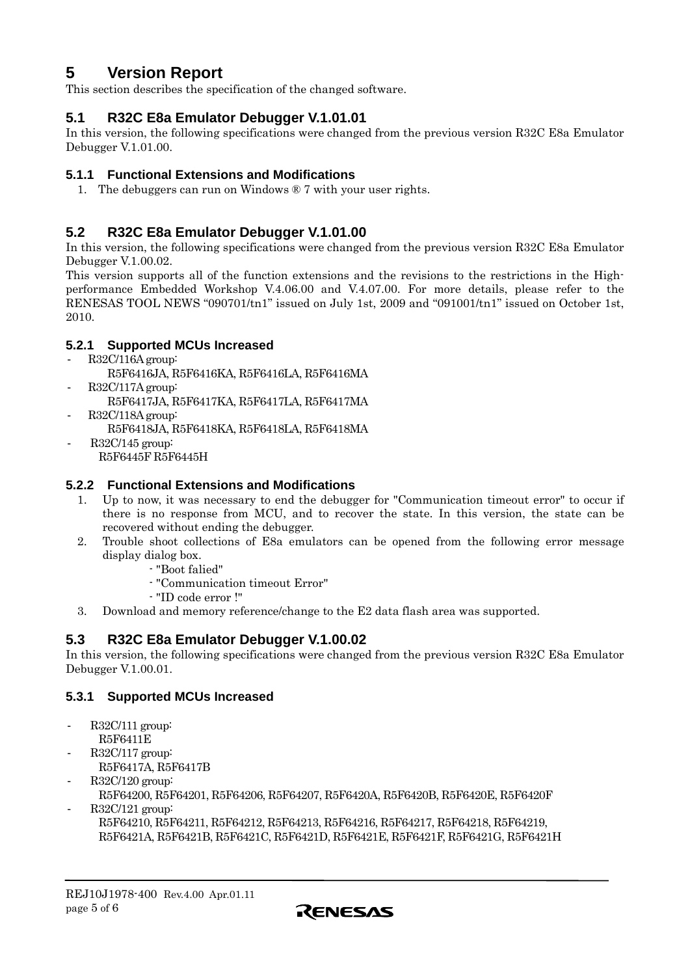# <span id="page-4-0"></span>**5 Version Report**

This section describes the specification of the changed software.

## **5.1 R32C E8a Emulator Debugger V.1.01.01**

In this version, the following specifications were changed from the previous version R32C E8a Emulator Debugger V.1.01.00.

#### **5.1.1 Functional Extensions and Modifications**

1. The debuggers can run on Windows ® 7 with your user rights.

## **5.2 R32C E8a Emulator Debugger V.1.01.00**

In this version, the following specifications were changed from the previous version R32C E8a Emulator Debugger V.1.00.02.

This version supports all of the function extensions and the revisions to the restrictions in the Highperformance Embedded Workshop V.4.06.00 and V.4.07.00. For more details, please refer to the RENESAS TOOL NEWS "090701/tn1" issued on July 1st, 2009 and "091001/tn1" issued on October 1st, 2010.

### **5.2.1 Supported MCUs Increased**

- R32C/116A group:
	- R5F6416JA, R5F6416KA, R5F6416LA, R5F6416MA
- R32C/117A group:
	- R5F6417JA, R5F6417KA, R5F6417LA, R5F6417MA
- R32C/118A group:
	- R5F6418JA, R5F6418KA, R5F6418LA, R5F6418MA
	- R32C/145 group: R5F6445F R5F6445H

#### **5.2.2 Functional Extensions and Modifications**

- 1. Up to now, it was necessary to end the debugger for "Communication timeout error" to occur if there is no response from MCU, and to recover the state. In this version, the state can be recovered without ending the debugger.
- 2. Trouble shoot collections of E8a emulators can be opened from the following error message display dialog box.
	- "Boot falied"
	- "Communication timeout Error"
	- "ID code error !"
- 3. Download and memory reference/change to the E2 data flash area was supported.

## **5.3 R32C E8a Emulator Debugger V.1.00.02**

In this version, the following specifications were changed from the previous version R32C E8a Emulator Debugger V.1.00.01.

#### **5.3.1 Supported MCUs Increased**

- R32C/111 group: R5F6411E
- R32C/117 group:
- R5F6417A, R5F6417B
- R32C/120 group:

R5F64200, R5F64201, R5F64206, R5F64207, R5F6420A, R5F6420B, R5F6420E, R5F6420F

- R32C/121 group: R5F64210, R5F64211, R5F64212, R5F64213, R5F64216, R5F64217, R5F64218, R5F64219, R5F6421A, R5F6421B, R5F6421C, R5F6421D, R5F6421E, R5F6421F, R5F6421G, R5F6421H